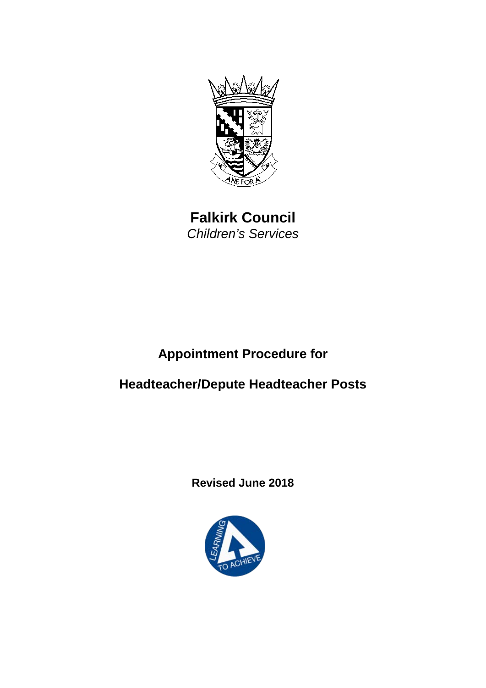

**Falkirk Council** *Children's Services*

# **Appointment Procedure for**

# **Headteacher/Depute Headteacher Posts**

**Revised June 2018**

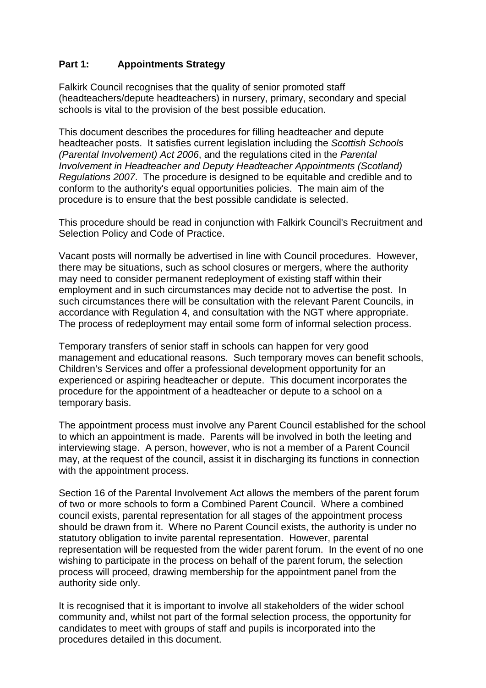## **Part 1: Appointments Strategy**

Falkirk Council recognises that the quality of senior promoted staff (headteachers/depute headteachers) in nursery, primary, secondary and special schools is vital to the provision of the best possible education.

This document describes the procedures for filling headteacher and depute headteacher posts. It satisfies current legislation including the *Scottish Schools (Parental Involvement) Act 2006*, and the regulations cited in the *Parental Involvement in Headteacher and Deputy Headteacher Appointments (Scotland) Regulations 2007*. The procedure is designed to be equitable and credible and to conform to the authority's equal opportunities policies. The main aim of the procedure is to ensure that the best possible candidate is selected.

This procedure should be read in conjunction with Falkirk Council's Recruitment and Selection Policy and Code of Practice.

Vacant posts will normally be advertised in line with Council procedures. However, there may be situations, such as school closures or mergers, where the authority may need to consider permanent redeployment of existing staff within their employment and in such circumstances may decide not to advertise the post. In such circumstances there will be consultation with the relevant Parent Councils, in accordance with Regulation 4, and consultation with the NGT where appropriate. The process of redeployment may entail some form of informal selection process.

Temporary transfers of senior staff in schools can happen for very good management and educational reasons. Such temporary moves can benefit schools, Children's Services and offer a professional development opportunity for an experienced or aspiring headteacher or depute. This document incorporates the procedure for the appointment of a headteacher or depute to a school on a temporary basis.

The appointment process must involve any Parent Council established for the school to which an appointment is made. Parents will be involved in both the leeting and interviewing stage. A person, however, who is not a member of a Parent Council may, at the request of the council, assist it in discharging its functions in connection with the appointment process.

Section 16 of the Parental Involvement Act allows the members of the parent forum of two or more schools to form a Combined Parent Council. Where a combined council exists, parental representation for all stages of the appointment process should be drawn from it. Where no Parent Council exists, the authority is under no statutory obligation to invite parental representation. However, parental representation will be requested from the wider parent forum. In the event of no one wishing to participate in the process on behalf of the parent forum, the selection process will proceed, drawing membership for the appointment panel from the authority side only.

It is recognised that it is important to involve all stakeholders of the wider school community and, whilst not part of the formal selection process, the opportunity for candidates to meet with groups of staff and pupils is incorporated into the procedures detailed in this document.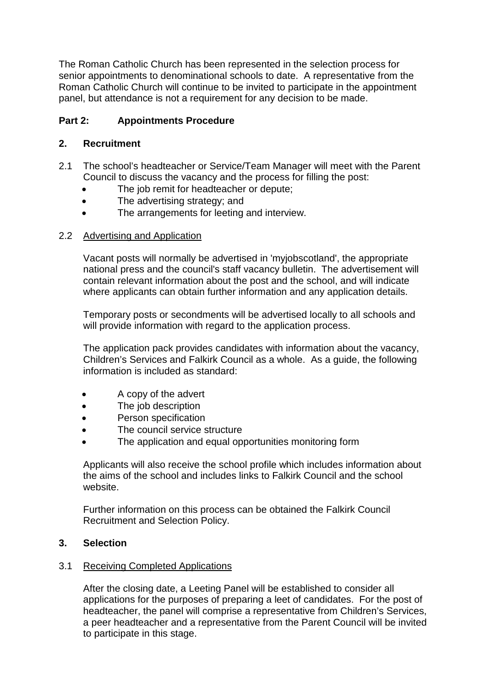The Roman Catholic Church has been represented in the selection process for senior appointments to denominational schools to date. A representative from the Roman Catholic Church will continue to be invited to participate in the appointment panel, but attendance is not a requirement for any decision to be made.

## **Part 2: Appointments Procedure**

### **2. Recruitment**

- 2.1 The school's headteacher or Service/Team Manager will meet with the Parent Council to discuss the vacancy and the process for filling the post:
	- The job remit for headteacher or depute:
	- The advertising strategy; and
	- The arrangements for leeting and interview.

#### 2.2 Advertising and Application

Vacant posts will normally be advertised in 'myjobscotland', the appropriate national press and the council's staff vacancy bulletin. The advertisement will contain relevant information about the post and the school, and will indicate where applicants can obtain further information and any application details.

Temporary posts or secondments will be advertised locally to all schools and will provide information with regard to the application process.

The application pack provides candidates with information about the vacancy, Children's Services and Falkirk Council as a whole. As a guide, the following information is included as standard:

- A copy of the advert
- The job description
- Person specification
- The council service structure
- The application and equal opportunities monitoring form

Applicants will also receive the school profile which includes information about the aims of the school and includes links to Falkirk Council and the school website.

Further information on this process can be obtained the Falkirk Council Recruitment and Selection Policy.

### **3. Selection**

#### 3.1 Receiving Completed Applications

After the closing date, a Leeting Panel will be established to consider all applications for the purposes of preparing a leet of candidates. For the post of headteacher, the panel will comprise a representative from Children's Services, a peer headteacher and a representative from the Parent Council will be invited to participate in this stage.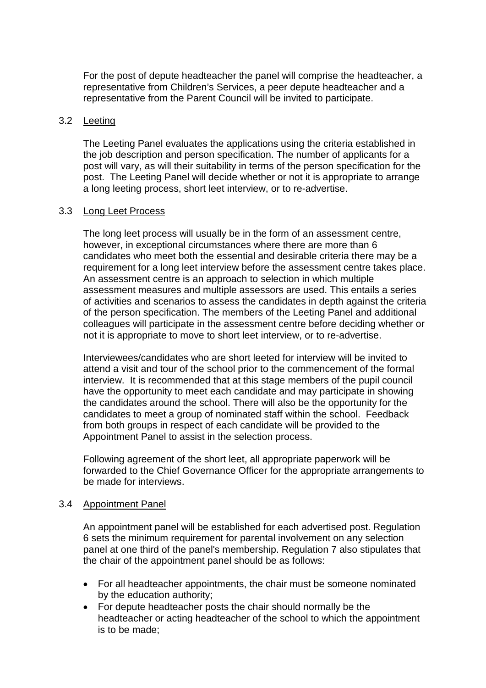For the post of depute headteacher the panel will comprise the headteacher, a representative from Children's Services, a peer depute headteacher and a representative from the Parent Council will be invited to participate.

#### 3.2 Leeting

The Leeting Panel evaluates the applications using the criteria established in the job description and person specification. The number of applicants for a post will vary, as will their suitability in terms of the person specification for the post. The Leeting Panel will decide whether or not it is appropriate to arrange a long leeting process, short leet interview, or to re-advertise.

#### 3.3 Long Leet Process

The long leet process will usually be in the form of an assessment centre, however, in exceptional circumstances where there are more than 6 candidates who meet both the essential and desirable criteria there may be a requirement for a long leet interview before the assessment centre takes place. An assessment centre is an approach to selection in which multiple assessment measures and multiple assessors are used. This entails a series of activities and scenarios to assess the candidates in depth against the criteria of the person specification. The members of the Leeting Panel and additional colleagues will participate in the assessment centre before deciding whether or not it is appropriate to move to short leet interview, or to re-advertise.

Interviewees/candidates who are short leeted for interview will be invited to attend a visit and tour of the school prior to the commencement of the formal interview. It is recommended that at this stage members of the pupil council have the opportunity to meet each candidate and may participate in showing the candidates around the school. There will also be the opportunity for the candidates to meet a group of nominated staff within the school. Feedback from both groups in respect of each candidate will be provided to the Appointment Panel to assist in the selection process.

Following agreement of the short leet, all appropriate paperwork will be forwarded to the Chief Governance Officer for the appropriate arrangements to be made for interviews.

#### 3.4 Appointment Panel

An appointment panel will be established for each advertised post. Regulation 6 sets the minimum requirement for parental involvement on any selection panel at one third of the panel's membership. Regulation 7 also stipulates that the chair of the appointment panel should be as follows:

- For all headteacher appointments, the chair must be someone nominated by the education authority;
- For depute headteacher posts the chair should normally be the headteacher or acting headteacher of the school to which the appointment is to be made;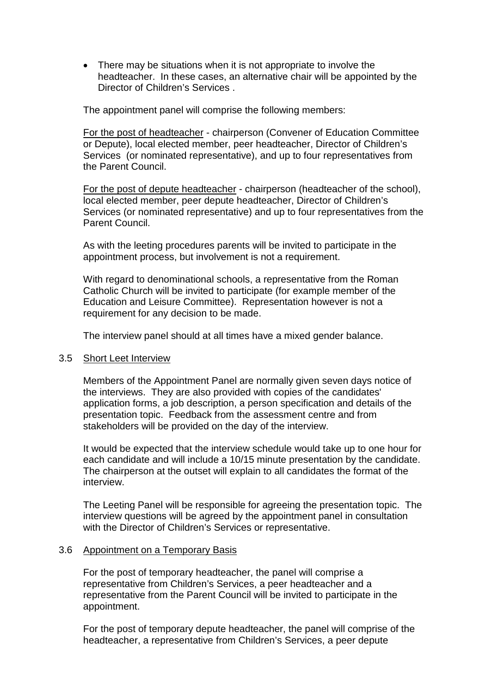• There may be situations when it is not appropriate to involve the headteacher. In these cases, an alternative chair will be appointed by the Director of Children's Services .

The appointment panel will comprise the following members:

For the post of headteacher - chairperson (Convener of Education Committee or Depute), local elected member, peer headteacher, Director of Children's Services (or nominated representative), and up to four representatives from the Parent Council.

For the post of depute headteacher - chairperson (headteacher of the school), local elected member, peer depute headteacher, Director of Children's Services (or nominated representative) and up to four representatives from the Parent Council.

As with the leeting procedures parents will be invited to participate in the appointment process, but involvement is not a requirement.

With regard to denominational schools, a representative from the Roman Catholic Church will be invited to participate (for example member of the Education and Leisure Committee). Representation however is not a requirement for any decision to be made.

The interview panel should at all times have a mixed gender balance.

#### 3.5 Short Leet Interview

Members of the Appointment Panel are normally given seven days notice of the interviews. They are also provided with copies of the candidates' application forms, a job description, a person specification and details of the presentation topic. Feedback from the assessment centre and from stakeholders will be provided on the day of the interview.

It would be expected that the interview schedule would take up to one hour for each candidate and will include a 10/15 minute presentation by the candidate. The chairperson at the outset will explain to all candidates the format of the interview.

The Leeting Panel will be responsible for agreeing the presentation topic. The interview questions will be agreed by the appointment panel in consultation with the Director of Children's Services or representative.

#### 3.6 Appointment on a Temporary Basis

For the post of temporary headteacher, the panel will comprise a representative from Children's Services, a peer headteacher and a representative from the Parent Council will be invited to participate in the appointment.

For the post of temporary depute headteacher, the panel will comprise of the headteacher, a representative from Children's Services, a peer depute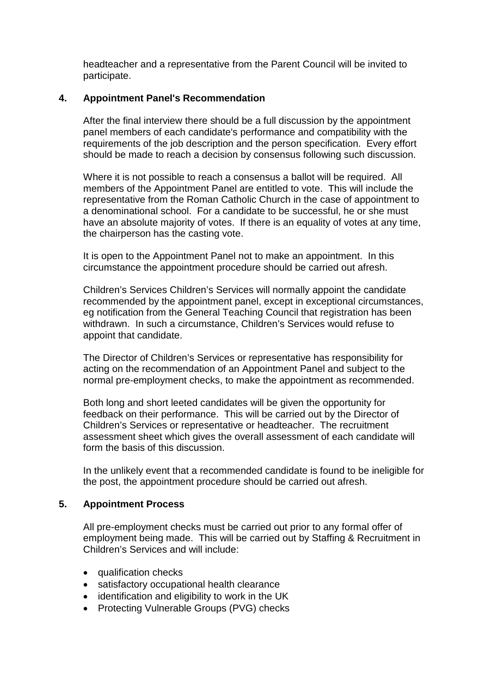headteacher and a representative from the Parent Council will be invited to participate.

#### **4. Appointment Panel's Recommendation**

After the final interview there should be a full discussion by the appointment panel members of each candidate's performance and compatibility with the requirements of the job description and the person specification. Every effort should be made to reach a decision by consensus following such discussion.

Where it is not possible to reach a consensus a ballot will be required. All members of the Appointment Panel are entitled to vote. This will include the representative from the Roman Catholic Church in the case of appointment to a denominational school. For a candidate to be successful, he or she must have an absolute majority of votes. If there is an equality of votes at any time, the chairperson has the casting vote.

It is open to the Appointment Panel not to make an appointment. In this circumstance the appointment procedure should be carried out afresh.

Children's Services Children's Services will normally appoint the candidate recommended by the appointment panel, except in exceptional circumstances, eg notification from the General Teaching Council that registration has been withdrawn. In such a circumstance, Children's Services would refuse to appoint that candidate.

The Director of Children's Services or representative has responsibility for acting on the recommendation of an Appointment Panel and subject to the normal pre-employment checks, to make the appointment as recommended.

Both long and short leeted candidates will be given the opportunity for feedback on their performance. This will be carried out by the Director of Children's Services or representative or headteacher. The recruitment assessment sheet which gives the overall assessment of each candidate will form the basis of this discussion.

In the unlikely event that a recommended candidate is found to be ineligible for the post, the appointment procedure should be carried out afresh.

#### **5. Appointment Process**

All pre-employment checks must be carried out prior to any formal offer of employment being made. This will be carried out by Staffing & Recruitment in Children's Services and will include:

- qualification checks
- satisfactory occupational health clearance
- identification and eligibility to work in the UK
- Protecting Vulnerable Groups (PVG) checks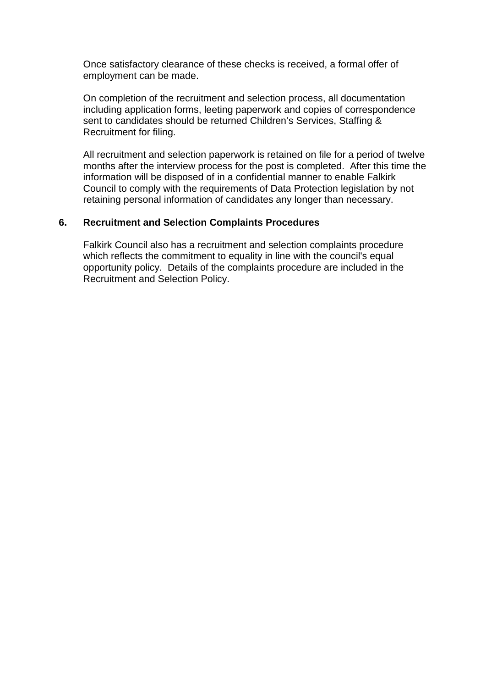Once satisfactory clearance of these checks is received, a formal offer of employment can be made.

On completion of the recruitment and selection process, all documentation including application forms, leeting paperwork and copies of correspondence sent to candidates should be returned Children's Services, Staffing & Recruitment for filing.

All recruitment and selection paperwork is retained on file for a period of twelve months after the interview process for the post is completed. After this time the information will be disposed of in a confidential manner to enable Falkirk Council to comply with the requirements of Data Protection legislation by not retaining personal information of candidates any longer than necessary.

#### **6. Recruitment and Selection Complaints Procedures**

Falkirk Council also has a recruitment and selection complaints procedure which reflects the commitment to equality in line with the council's equal opportunity policy. Details of the complaints procedure are included in the Recruitment and Selection Policy.